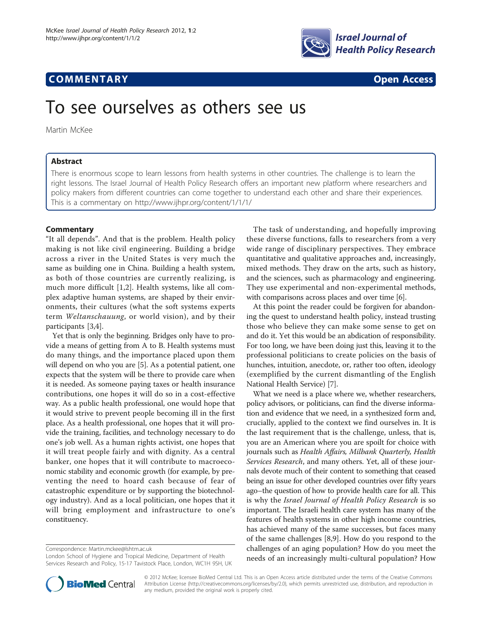

# **COMMENTARY COMMENTARY Open Access**

# To see ourselves as others see us

Martin McKee

# Abstract

There is enormous scope to learn lessons from health systems in other countries. The challenge is to learn the right lessons. The Israel Journal of Health Policy Research offers an important new platform where researchers and policy makers from different countries can come together to understand each other and share their experiences. This is a commentary on<http://www.ijhpr.org/content/1/1/1/>

# **Commentary**

"It all depends". And that is the problem. Health policy making is not like civil engineering. Building a bridge across a river in the United States is very much the same as building one in China. Building a health system, as both of those countries are currently realizing, is much more difficult [[1,2\]](#page-1-0). Health systems, like all complex adaptive human systems, are shaped by their environments, their cultures (what the soft systems experts term Weltanschauung, or world vision), and by their participants [[3,4\]](#page-1-0).

Yet that is only the beginning. Bridges only have to provide a means of getting from A to B. Health systems must do many things, and the importance placed upon them will depend on who you are [\[5\]](#page-1-0). As a potential patient, one expects that the system will be there to provide care when it is needed. As someone paying taxes or health insurance contributions, one hopes it will do so in a cost-effective way. As a public health professional, one would hope that it would strive to prevent people becoming ill in the first place. As a health professional, one hopes that it will provide the training, facilities, and technology necessary to do one's job well. As a human rights activist, one hopes that it will treat people fairly and with dignity. As a central banker, one hopes that it will contribute to macroeconomic stability and economic growth (for example, by preventing the need to hoard cash because of fear of catastrophic expenditure or by supporting the biotechnology industry). And as a local politician, one hopes that it will bring employment and infrastructure to one's constituency.

Correspondence: [Martin.mckee@lshtm.ac.uk](mailto:Martin.mckee@lshtm.ac.uk)

The task of understanding, and hopefully improving these diverse functions, falls to researchers from a very wide range of disciplinary perspectives. They embrace quantitative and qualitative approaches and, increasingly, mixed methods. They draw on the arts, such as history, and the sciences, such as pharmacology and engineering. They use experimental and non-experimental methods, with comparisons across places and over time [[6](#page-1-0)].

At this point the reader could be forgiven for abandoning the quest to understand health policy, instead trusting those who believe they can make some sense to get on and do it. Yet this would be an abdication of responsibility. For too long, we have been doing just this, leaving it to the professional politicians to create policies on the basis of hunches, intuition, anecdote, or, rather too often, ideology (exemplified by the current dismantling of the English National Health Service) [[7\]](#page-1-0).

What we need is a place where we, whether researchers, policy advisors, or politicians, can find the diverse information and evidence that we need, in a synthesized form and, crucially, applied to the context we find ourselves in. It is the last requirement that is the challenge, unless, that is, you are an American where you are spoilt for choice with journals such as Health Affairs, Milbank Quarterly, Health Services Research, and many others. Yet, all of these journals devote much of their content to something that ceased being an issue for other developed countries over fifty years ago–the question of how to provide health care for all. This is why the Israel Journal of Health Policy Research is so important. The Israeli health care system has many of the features of health systems in other high income countries, has achieved many of the same successes, but faces many of the same challenges [[8,9](#page-1-0)]. How do you respond to the challenges of an aging population? How do you meet the needs of an increasingly multi-cultural population? How



© 2012 McKee; licensee BioMed Central Ltd. This is an Open Access article distributed under the terms of the Creative Commons Attribution License [\(http://creativecommons.org/licenses/by/2.0](http://creativecommons.org/licenses/by/2.0)), which permits unrestricted use, distribution, and reproduction in any medium, provided the original work is properly cited.

London School of Hygiene and Tropical Medicine, Department of Health Services Research and Policy, 15-17 Tavistock Place, London, WC1H 9SH, UK